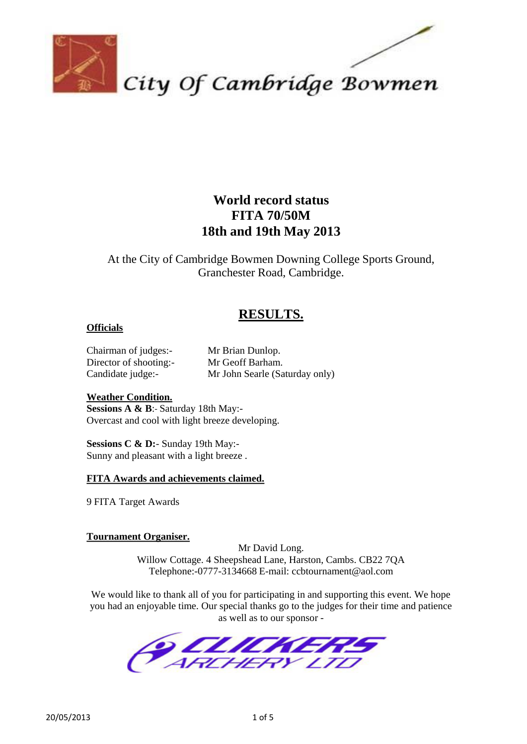

### **World record status FITA 70/50M 18th and 19th May 2013**

At the City of Cambridge Bowmen Downing College Sports Ground, Granchester Road, Cambridge.

### **RESULTS.**

### **Officials**

Chairman of judges:- Mr Brian Dunlop. Director of shooting:- Mr Geoff Barham.

Candidate judge:- Mr John Searle (Saturday only)

### **Weather Condition.**

**Sessions A & B**:- Saturday 18th May:- Overcast and cool with light breeze developing.

**Sessions C & D:**- Sunday 19th May:- Sunny and pleasant with a light breeze .

### **FITA Awards and achievements claimed.**

9 FITA Target Awards

### **Tournament Organiser.**

Mr David Long. Willow Cottage. 4 Sheepshead Lane, Harston, Cambs. CB22 7QA Telephone:-0777-3134668 E-mail: ccbtournament@aol.com

We would like to thank all of you for participating in and supporting this event. We hope you had an enjoyable time. Our special thanks go to the judges for their time and patience as well as to our sponsor -

TE TERERE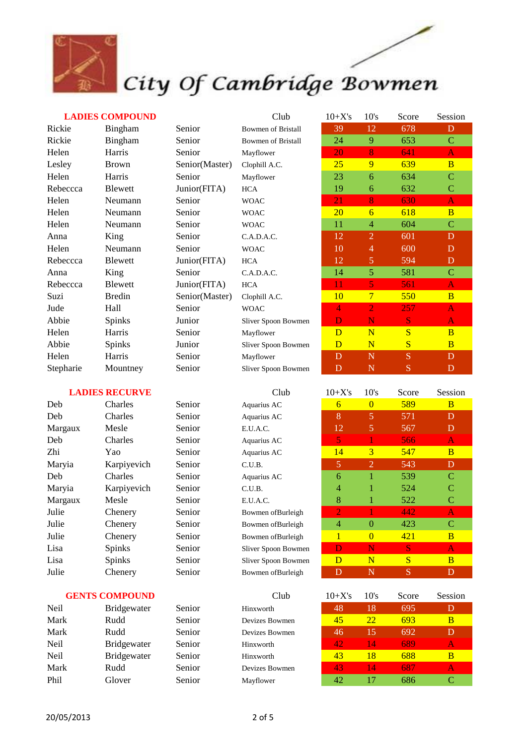

### **LADIES COMPOUND**

|     | <b>Bowmen of Bristall</b> |
|-----|---------------------------|
|     | <b>Bowmen of Bristall</b> |
|     | Mayflower                 |
| er) | Clophill A.C.             |
|     | Mayflower                 |
| ١   | <b>HCA</b>                |
|     | <b>WOAC</b>               |
|     | <b>WOAC</b>               |
|     | <b>WOAC</b>               |
|     | C.A.D.A.C.                |
|     | <b>WOAC</b>               |
| ١   | <b>HCA</b>                |
|     | C.A.D.A.C.                |
| ١   | <b>HCA</b>                |
| er) | Clophill A.C.             |
|     | <b>WOAC</b>               |
|     | Sliver Spoon Bowmen       |
|     | Mayflower                 |
|     | Sliver Spoon Bowmen       |
|     | Mayflower                 |
|     | Sliver Spoon Bowmen       |
|     |                           |

| <b>LADIES COMPOUND</b> |               |                | Club                      | $10+X's$       | 10's            | Score        | Session        |
|------------------------|---------------|----------------|---------------------------|----------------|-----------------|--------------|----------------|
| Rickie                 | Bingham       | Senior         | <b>Bowmen of Bristall</b> | 39             | 12              | 678          | D              |
| Rickie                 | Bingham       | Senior         | <b>Bowmen of Bristall</b> | 24             | 9               | 653          | $\mathbf C$    |
| Helen                  | Harris        | Senior         | Mayflower                 | 20             | 8               | 641          | $\mathbf{A}$   |
| Lesley                 | <b>Brown</b>  | Senior(Master) | Clophill A.C.             | 25             | 9               | 639          | $\overline{B}$ |
| Helen                  | Harris        | Senior         | Mayflower                 | 23             | 6               | 634          | $\mathbf C$    |
| Rebeccca               | Blewett       | Junior(FITA)   | HCA                       | 19             | 6               | 632          | $\mathbf C$    |
| Helen                  | Neumann       | Senior         | <b>WOAC</b>               | 21             | 8               | 630          | $\mathbf{A}$   |
| Helen                  | Neumann       | Senior         | <b>WOAC</b>               | 20             | 6               | 618          | $\overline{B}$ |
| Helen                  | Neumann       | Senior         | <b>WOAC</b>               | 11             | $\overline{4}$  | 604          | $\mathbf C$    |
| Anna                   | King          | Senior         | C.A.D.A.C.                | 12             | $\overline{2}$  | 601          | D              |
| Helen                  | Neumann       | Senior         | <b>WOAC</b>               | 10             | $\overline{4}$  | 600          | D              |
| Rebeccca               | Blewett       | Junior(FITA)   | <b>HCA</b>                | 12             | 5               | 594          | D              |
| Anna                   | King          | Senior         | C.A.D.A.C.                | 14             | 5 <sup>5</sup>  | 581          | $\mathbf C$    |
| Rebeccca               | Blewett       | Junior(FITA)   | <b>HCA</b>                | 11             | 5               | 561          | $\mathbf{A}$   |
| Suzi                   | <b>Bredin</b> | Senior(Master) | Clophill A.C.             | 10             | $7\phantom{.0}$ | 550          | $\overline{B}$ |
| Jude                   | Hall          | Senior         | <b>WOAC</b>               | 4              | $\overline{2}$  | 257          | $\mathbf{A}$   |
| Abbie                  | Spinks        | Junior         | Sliver Spoon Bowmen       | D              | N               | <sub>S</sub> | $\bf{A}$       |
| Helen                  | Harris        | Senior         | Mayflower                 | D              | N               | S            | $\overline{B}$ |
| Abbie                  | <b>Spinks</b> | Junior         | Sliver Spoon Bowmen       | $\overline{D}$ | N               | S            | $\overline{B}$ |
| Helen                  | Harris        | Senior         | Mayflower                 | D              | $\mathbf N$     | <sub>S</sub> | D              |
| Stepharie              | Mountney      | Senior         | Sliver Spoon Bowmen       | $\mathbf D$    | $\mathbf N$     | S            | $\mathbf D$    |

|  | <b>LADIES RECURVE</b> |
|--|-----------------------|
|--|-----------------------|

| Deb     | Charles     |
|---------|-------------|
| Deb     | Charles     |
| Margaux | Mesle       |
| Deb     | Charles     |
| Zhi     | Yao         |
| Maryia  | Karpiyevich |
| Deb     | Charles     |
| Maryia  | Karpiyevich |
| Margaux | Mesle       |
| Julie   | Chenery     |
| Julie   | Chenery     |
| Julie   | Chenery     |
| Lisa    | Spinks      |
| Lisa    | Spinks      |
| Julie   | Chenery     |
|         |             |

### **GENTS COMPOUND**

| <b>Neil</b> | <b>Bridgewater</b> | Senior | Hinxworth      | 48 | 18        | 695 | D |
|-------------|--------------------|--------|----------------|----|-----------|-----|---|
| Mark        | Rudd               | Senior | Devizes Bowmen | 45 | <u>22</u> | 693 | B |
| Mark        | Rudd               | Senior | Devizes Bowmen | 46 | 15        | 692 | D |
| <b>Neil</b> | <b>Bridgewater</b> | Senior | Hinxworth      | 42 | 14        | 689 |   |
| <b>Neil</b> | <b>Bridgewater</b> | Senior | Hinxworth      | 43 | 18        | 688 |   |
| Mark        | Rudd               | Senior | Devizes Bowmen | 43 | 14        | 687 |   |
| Phil        | Glover             | Senior | Mayflower      | 42 |           | 686 |   |

| Aquarius AC         |  |
|---------------------|--|
| Aquarius AC         |  |
| E.U.A.C.            |  |
| Aquarius AC         |  |
| Aquarius AC         |  |
| C.U.B.              |  |
| Aquarius AC         |  |
| C.U.B.              |  |
| E.U.A.C.            |  |
| Bowmen of Burleigh  |  |
| Bowmen of Burleigh  |  |
| Bowmen ofBurleigh   |  |
| Sliver Spoon Bowmen |  |
| Sliver Spoon Bowmen |  |
| Bowmen ofBurleigh   |  |
|                     |  |

Or Devizes Bowmen Or Devizes Bowmen

| <b>LADIES RECURVE</b><br>Club |               | $10+X's$ | 10's                | Score        | Session        |     |                |
|-------------------------------|---------------|----------|---------------------|--------------|----------------|-----|----------------|
| Deb                           | Charles       | Senior   | Aquarius AC         | 6            | $\overline{0}$ | 589 | B              |
| Deb                           | Charles       | Senior   | Aquarius AC         | 8            | 5              | 571 | D              |
| Margaux                       | Mesle         | Senior   | E.U.A.C.            | 12           | $\mathfrak{S}$ | 567 | $\mathbf{D}$   |
| Deb                           | Charles       | Senior   | Aquarius AC         | 5            |                | 566 | $\mathbf{A}$   |
| Zhi                           | Yao           | Senior   | Aquarius AC         | 14           | $\overline{3}$ | 547 | $\overline{B}$ |
| Maryia                        | Karpiyevich   | Senior   | C.U.B.              | 5            | $\overline{2}$ | 543 | D              |
| Deb                           | Charles       | Senior   | Aquarius AC         | 6            |                | 539 | C              |
| Maryia                        | Karpiyevich   | Senior   | C.U.B.              | 4            | 1              | 524 | C              |
| Margaux                       | Mesle         | Senior   | E.U.A.C.            | 8            | 1              | 522 | $\mathbf C$    |
| Julie                         | Chenery       | Senior   | Bowmen of Burleigh  | 2            |                | 442 | A              |
| Julie                         | Chenery       | Senior   | Bowmen ofBurleigh   | 4            | $\overline{0}$ | 423 | $\mathbf C$    |
| Julie                         | Chenery       | Senior   | Bowmen of Burleigh  | $\mathbf{1}$ | $\theta$       | 421 | $\overline{B}$ |
| Lisa                          | <b>Spinks</b> | Senior   | Sliver Spoon Bowmen | D            | N              | S   | $\mathbf{A}$   |
| Lisa                          | Spinks        | Senior   | Sliver Spoon Bowmen | D            | $\mathbf N$    | S   | B              |
| Julie                         | Chenery       | Senior   | Bowmen of Burleigh  | D            | N              | S   | D              |

| Club  | $10+X's$ | 10's | Score | Session |
|-------|----------|------|-------|---------|
| ı     | 48       | 18   | 695   |         |
| owmen | 45       | 22   | 693   | B       |
| owmen | 46       | 15   | 692   | D       |
| ı     | 42       | 14   | 689   | A       |
| ı     | 43       | 18   | 688   | B       |
| owmen | 43       | 14   | 687   | A       |
| r     | 42       |      | 686   | C       |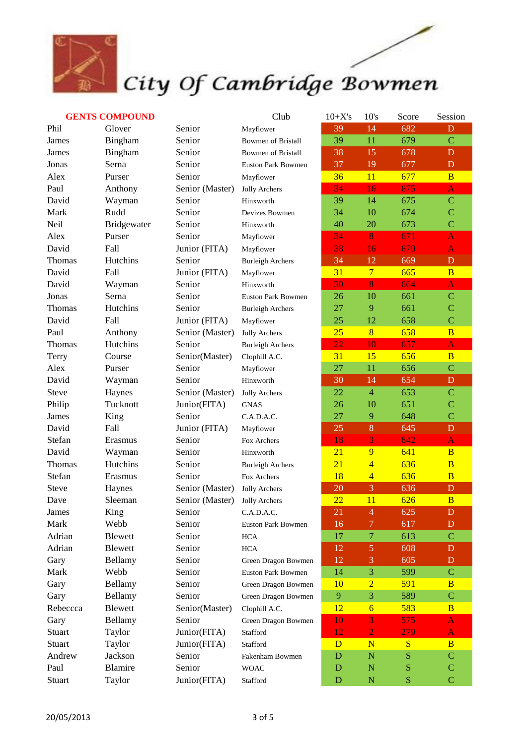

## City Of Cambridge Bowmen

### **GENTS COMPOUND**

|    | Mayflower                 |
|----|---------------------------|
|    | <b>Bowmen of Bristall</b> |
|    | <b>Bowmen of Bristall</b> |
|    | <b>Euston Park Bowmen</b> |
|    | Mayflower                 |
| .) | <b>Jolly Archers</b>      |
|    | Hinxworth                 |
|    | Devizes Bowmen            |
|    | Hinxworth                 |
|    | Mayflower                 |
|    | Mayflower                 |
|    | <b>Burleigh Archers</b>   |
|    | Mayflower                 |
|    | Hinxworth                 |
|    | <b>Euston Park Bowmen</b> |
|    | <b>Burleigh Archers</b>   |
|    | Mayflower                 |
| .) | <b>Jolly Archers</b>      |
|    | <b>Burleigh Archers</b>   |
| )  | Clophill A.C.             |
|    | Mayflower                 |
|    | Hinxworth                 |
| .) | <b>Jolly Archers</b>      |
|    | GNAS                      |
|    | C.A.D.A.C.                |
|    | Mayflower                 |
|    | Fox Archers               |
|    | Hinxworth                 |
|    | <b>Burleigh Archers</b>   |
|    | Fox Archers               |
| .) | <b>Jolly Archers</b>      |
| :) | <b>Jolly Archers</b>      |
|    | C.A.D.A.C.                |
|    | <b>Euston Park Bowmen</b> |
|    | <b>HCA</b>                |
|    | <b>HCA</b>                |
|    | Green Dragon Bowmen       |
|    | Euston Park Bowmen        |
|    | Green Dragon Bowmen       |
|    | Green Dragon Bowmen       |
|    | Clophill A.C.             |
|    | Green Dragon Bowmen       |
|    | Stafford                  |
|    | Stafford                  |
|    | Fakenham Bowmen           |
|    | <b>WOAC</b>               |
|    | Stafford                  |

|          | <b>GENTS COMPOUND</b> |                               | Club                      | $10+X's$        | 10's            | Score | Session        |
|----------|-----------------------|-------------------------------|---------------------------|-----------------|-----------------|-------|----------------|
| Phil     | Glover                | Senior                        | Mayflower                 | 39              | 14              | 682   | D              |
| James    | Bingham               | Senior                        | <b>Bowmen of Bristall</b> | 39              | 11              | 679   | $\overline{C}$ |
| James    | Bingham               | Senior                        | <b>Bowmen of Bristall</b> | 38              | 15              | 678   | $\mathbf{D}$   |
| Jonas    | Serna                 | Senior                        | Euston Park Bowmen        | 37              | 19              | 677   | D              |
| Alex     | Purser                | Senior                        | Mayflower                 | 36              | 11              | 677   | $\overline{B}$ |
| Paul     | Anthony               | Senior (Master)               | Jolly Archers             | 34              | 16              | 675   | $\mathbf{A}$   |
| David    | Wayman                | Senior                        | Hinxworth                 | 39              | 14              | 675   | $\mathbf C$    |
| Mark     | Rudd                  | Senior                        | Devizes Bowmen            | 34              | 10              | 674   | $\mathbf C$    |
| Neil     | Bridgewater           | Senior                        | Hinxworth                 | 40              | 20              | 673   | $\overline{C}$ |
| Alex     | Purser                | Senior                        | Mayflower                 | 34              | 8               | 671   | $\mathbf{A}$   |
| David    | Fall                  | Junior (FITA)                 | Mayflower                 | 38              | 16              | 670   | $\mathbf{A}$   |
| Thomas   | Hutchins              | Senior                        | <b>Burleigh Archers</b>   | 34              | 12              | 669   | $\mathbf D$    |
| David    | Fall                  | Junior (FITA)                 | Mayflower                 | 31              | $\overline{7}$  | 665   | $\overline{B}$ |
| David    | Wayman                | Senior                        | Hinxworth                 | 30              | 8               | 664   | $\mathbf{A}$   |
| Jonas    | Serna                 | Senior                        | <b>Euston Park Bowmen</b> | 26              | 10              | 661   | $\mathbf C$    |
| Thomas   | Hutchins              | Senior                        | <b>Burleigh Archers</b>   | 27              | 9               | 661   | $\mathbf C$    |
| David    | Fall                  | Junior (FITA)                 | Mayflower                 | 25              | 12              | 658   | $\overline{C}$ |
| Paul     | Anthony               | Senior (Master)               | Jolly Archers             | 25              | 8               | 658   | $\overline{B}$ |
| Thomas   | Hutchins              | Senior                        | <b>Burleigh Archers</b>   | $\overline{22}$ | 10              | 657   | $\mathbf{A}$   |
| Terry    | Course                | Senior(Master)                | Clophill A.C.             | 31              | 15              | 656   | $\overline{B}$ |
| Alex     | Purser                | Senior                        | Mayflower                 | 27              | 11              | 656   | $\overline{C}$ |
| David    | Wayman                | Senior                        | Hinxworth                 | 30              | 14              | 654   | $\mathbf D$    |
| Steve    | Haynes                | Senior (Master)               | Jolly Archers             | 22              | $\overline{4}$  | 653   | $\mathbf C$    |
| Philip   | Tucknott              | Junior(FITA)                  | <b>GNAS</b>               | 26              | 10              | 651   | $\mathbf C$    |
| James    | King                  | Senior                        | C.A.D.A.C.                | 27              | 9               | 648   | $\overline{C}$ |
| David    | Fall                  | Junior (FITA)                 | Mayflower                 | 25              | 8               | 645   | $\mathbf D$    |
| Stefan   | Erasmus               | Senior                        | Fox Archers               | 18              | 3               | 642   | $\mathbf{A}$   |
| David    | Wayman                | Senior                        | Hinxworth                 | $\overline{21}$ | 9               | 641   | $\overline{B}$ |
| Thomas   | Hutchins              | Senior                        | <b>Burleigh Archers</b>   | 21              | $\overline{4}$  | 636   | $\overline{B}$ |
| Stefan   | Erasmus               | Senior                        | Fox Archers               | 18              | $\overline{4}$  | 636   | $\overline{B}$ |
| Steve    | Haynes                | Senior (Master) Jolly Archers |                           | 20              | 3               | 636   | $\mathbf D$    |
| Dave     | Sleeman               | Senior (Master)               | Jolly Archers             | 22              | 11              | 626   | $\overline{B}$ |
| James    | King                  | Senior                        | C.A.D.A.C.                | 21              | $\overline{4}$  | 625   | $\mathbf{D}$   |
| Mark     | Webb                  | Senior                        | <b>Euston Park Bowmen</b> | 16              | 7               | 617   | $\mathbf{D}$   |
| Adrian   | <b>Blewett</b>        | Senior                        | <b>HCA</b>                | 17              | $\overline{7}$  | 613   | $\mathbf C$    |
| Adrian   | <b>Blewett</b>        | Senior                        | <b>HCA</b>                | 12              | $\overline{5}$  | 608   | D              |
| Gary     | Bellamy               | Senior                        | Green Dragon Bowmen       | 12              | 3               | 605   | D              |
| Mark     | Webb                  | Senior                        | <b>Euston Park Bowmen</b> | 14              | 3               | 599   | $\mathbf C$    |
| Gary     | Bellamy               | Senior                        | Green Dragon Bowmen       | 10              | $\overline{2}$  | 591   | $\overline{B}$ |
| Gary     | Bellamy               | Senior                        | Green Dragon Bowmen       | 9               | 3               | 589   | $\mathbf C$    |
| Rebeccca | Blewett               | Senior(Master)                | Clophill A.C.             | 12              | $6\overline{6}$ | 583   | $\overline{B}$ |
| Gary     | Bellamy               | Senior                        | Green Dragon Bowmen       | 10              | 3               | 575   | $\mathbf{A}$   |
| Stuart   | Taylor                | Junior(FITA)                  | Stafford                  | 12              | $\overline{2}$  | 279   | $\mathbf{A}$   |
| Stuart   | Taylor                | Junior(FITA)                  | Stafford                  | D               | N               | S     | $\overline{B}$ |
| Andrew   | Jackson               | Senior                        | Fakenham Bowmen           | D               | $\mathbf N$     | S     | $\mathbf C$    |
| Paul     | Blamire               | Senior                        | <b>WOAC</b>               | $\mathbf D$     | $\mathbf N$     | S     | $\mathbf C$    |
| Stuart   | Taylor                | Junior(FITA)                  | Stafford                  | D               | $\mathbf N$     | S     | $\overline{C}$ |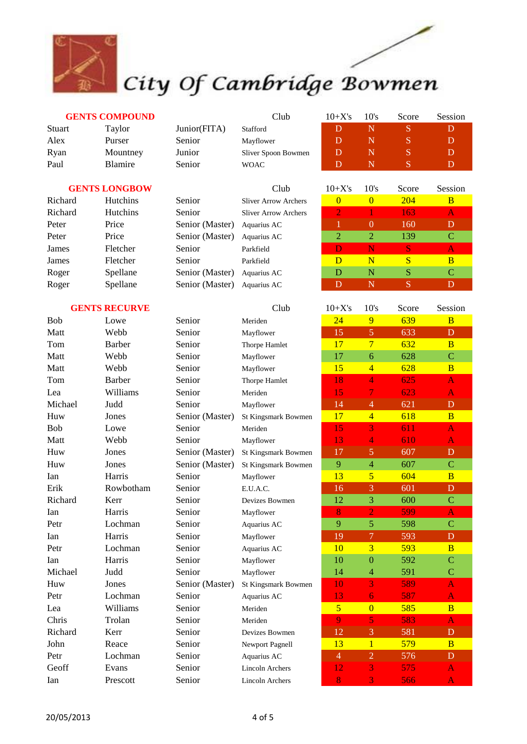

# City Of Cambridge Bowmen

### **GENTS COMPOUND**

| Stuart | Taylor         | Junior(FITA) | Stafford            |   |  |  |
|--------|----------------|--------------|---------------------|---|--|--|
| Alex   | Purser         | Senior       | Mayflower           |   |  |  |
| Ryan   | Mountney       | Junior       | Sliver Spoon Bowmen | D |  |  |
| Paul   | <b>Blamire</b> | Senior       | <b>WOAC</b>         |   |  |  |

#### **GENTS LONGBOW**

| Richard | <b>Hutchins</b> | Senior          | <b>Sliver Arrow Archers</b> |   |   | 204  | B |
|---------|-----------------|-----------------|-----------------------------|---|---|------|---|
| Richard | <b>Hutchins</b> | Senior          | <b>Sliver Arrow Archers</b> |   |   | 163. |   |
| Peter   | Price           | Senior (Master) | Aquarius AC                 |   |   | 160  | D |
| Peter   | Price           | Senior (Master) | Aquarius AC                 |   |   | 139  | C |
| James   | Fletcher        | Senior          | Parkfield                   |   |   | S    |   |
| James   | Fletcher        | Senior          | Parkfield                   | D | N |      | B |
| Roger   | Spellane        | Senior (Master) | Aquarius AC                 | D | N | S    | C |
| Roger   | Spellane        | Senior (Master) | Aquarius AC                 |   | N |      | D |

### **GENTS RECURVE**

| Bob        | Lowe          |
|------------|---------------|
| Matt       | Webb          |
| Tom        | <b>Barber</b> |
| Matt       | Webb          |
| Matt       | Webb          |
| Tom        | <b>Barber</b> |
| Lea        | Williams      |
| Michael    | Judd          |
| Huw        | Jones         |
| <b>Bob</b> | Lowe          |
| Matt       | Webb          |
| Huw        | Jones         |
| Huw        | Jones         |
| Ian        | Harris        |
| Erik       | Rowbotham     |
| Richard    | Kerr          |
| Ian        | Harris        |
| Petr       | Lochman       |
| Ian        | Harris        |
| Petr       | Lochman       |
| Ian        | Harris        |
| Michael    | Judd          |
| Huw        | Jones         |
| Petr       | Lochman       |
| Lea        | Williams      |
| Chris      | Trolan        |
| Richard    | Kerr          |
| John       | Reace         |
| Petr       | Lochman       |
| Geoff      | Evans         |
| Ian        | Prescott      |
|            |               |

| Senior          | S |
|-----------------|---|
| Senior          | S |
| Senior (Master) | A |
| Senior (Master) | A |
| Senior          | P |
| Senior          | P |
| Senior (Master) | A |
| Senior (Master) | A |

| eziurz                   |
|--------------------------|
| <b>Sliver Arrow Arcl</b> |
| <b>Sliver Arrow Arcl</b> |
| (Master) Aquarius AC     |
| (Master) Aquarius AC     |
| Parkfield                |
| Parkfield                |
| (Master) Aquarius AC     |
| (Master) Aquarius AC     |

| Kyan    | Mountney             | Junior          | Sliver Spoon Bowmen         |          |          |            | D       |
|---------|----------------------|-----------------|-----------------------------|----------|----------|------------|---------|
| Paul    | Blamire              | Senior          | <b>WOAC</b>                 | D        | N        | 'S         | D       |
|         |                      |                 |                             |          |          |            |         |
|         | <b>GENTS LONGBOW</b> |                 | Club                        | $10+X's$ | 10's     | Score      | Session |
| Richard | <b>Hutchins</b>      | Senior          | <b>Sliver Arrow Archers</b> |          | $\theta$ | <b>204</b> | B       |
| Richard | <b>Hutchins</b>      | Senior          | <b>Sliver Arrow Archers</b> |          |          | 163        | IАI     |
| Peter   | Price                | Senior (Master) | Aquarius AC                 |          | 0        | 160        | D       |
| Peter   | Price                | Senior (Master) | Aquarius AC                 | 2        | 2        | 139        | C       |
| James   | Fletcher             | Senior          | Parkfield                   |          |          | S          | A       |
| James   | Fletcher             | Senior          | Parkfield                   | D        | N        | S          | в       |

Club 10+X's 10's Score Session

|         | <b>GENTS RECURVE</b> |                 | Club                   | $10+X's$       | 10's           | Score | Session                 |
|---------|----------------------|-----------------|------------------------|----------------|----------------|-------|-------------------------|
| Bob     | Lowe                 | Senior          | Meriden                | 24             | 9              | 639   | $\overline{B}$          |
| Matt    | Webb                 | Senior          | Mayflower              | 15             | 5              | 633   | D                       |
| Tom     | <b>Barber</b>        | Senior          | Thorpe Hamlet          | 17             | $\overline{7}$ | 632   | B                       |
| Matt    | Webb                 | Senior          | Mayflower              | 17             | 6              | 628   | $\overline{C}$          |
| Matt    | Webb                 | Senior          | Mayflower              | 15             | $\overline{4}$ | 628   | $\overline{B}$          |
| Tom     | <b>Barber</b>        | Senior          | Thorpe Hamlet          | 18             | $\overline{4}$ | 625   | A                       |
| Lea     | Williams             | Senior          | Meriden                | 15             | $\overline{7}$ | 623   | $\overline{\mathbf{A}}$ |
| Michael | Judd                 | Senior          | Mayflower              | 14             | $\overline{4}$ | 621   | D                       |
| Huw     | Jones                | Senior (Master) | St Kingsmark Bowmen    | 17             | $\overline{4}$ | 618   | $\overline{B}$          |
| Bob     | Lowe                 | Senior          | Meriden                | 15             | $\overline{3}$ | 611   | A                       |
| Matt    | Webb                 | Senior          | Mayflower              | 13             | 4              | 610   | A                       |
| Huw     | Jones                | Senior (Master) | St Kingsmark Bowmen    | 17             | 5              | 607   | D                       |
| Huw     | Jones                | Senior (Master) | St Kingsmark Bowmen    | 9              | $\overline{4}$ | 607   | $\mathbf C$             |
| Ian     | Harris               | Senior          | Mayflower              | 13             | 5              | 604   | $\overline{B}$          |
| Erik    | Rowbotham            | Senior          | E.U.A.C.               | 16             | 3              | 601   | $\overline{D}$          |
| Richard | Kerr                 | Senior          | Devizes Bowmen         | 12             | 3              | 600   | $\mathbf C$             |
| Ian     | Harris               | Senior          | Mayflower              | 8              | $\overline{2}$ | 599   | $\mathbf{A}$            |
| Petr    | Lochman              | Senior          | Aquarius AC            | 9              | 5              | 598   | $\overline{C}$          |
| Ian     | Harris               | Senior          | Mayflower              | 19             | 7              | 593   | D                       |
| Petr    | Lochman              | Senior          | Aquarius AC            | 10             | $\overline{3}$ | 593   | $\overline{B}$          |
| Ian     | Harris               | Senior          | Mayflower              | 10             | $\overline{0}$ | 592   | $\overline{C}$          |
| Michael | Judd                 | Senior          | Mayflower              | 14             | $\overline{4}$ | 591   | $\overline{C}$          |
| Huw     | Jones                | Senior (Master) | St Kingsmark Bowmen    | 10             | 3              | 589   | $\overline{\mathbf{A}}$ |
| Petr    | Lochman              | Senior          | Aquarius AC            | 13             | 6              | 587   | A                       |
| Lea     | Williams             | Senior          | Meriden                | $\overline{5}$ | $\overline{0}$ | 585   | $\overline{B}$          |
| Chris   | Trolan               | Senior          | Meriden                | 9              | 5              | 583   | $\overline{\mathbf{A}}$ |
| Richard | Kerr                 | Senior          | Devizes Bowmen         | 12             | 3              | 581   | D                       |
| John    | Reace                | Senior          | Newport Pagnell        | 13             | $\mathbf{1}$   | 579   | $\overline{B}$          |
| Petr    | Lochman              | Senior          | Aquarius AC            | $\overline{4}$ | $\overline{2}$ | 576   | $\mathbf{D}$            |
| Geoff   | Evans                | Senior          | <b>Lincoln Archers</b> | 12             | $\overline{3}$ | 575   | $\overline{\mathsf{A}}$ |
| Ian     | Prescott             | Senior          | Lincoln Archers        | 8              | 3              | 566   | A                       |